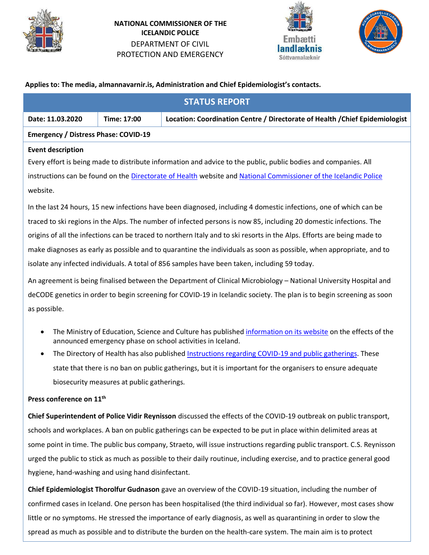

**NATIONAL COMMISSIONER OF THE ICELANDIC POLICE** DEPARTMENT OF CIVIL PROTECTION AND EMERGENCY





# **Applies to: The media, almannavarnir.is, Administration and Chief Epidemiologist's contacts.**

| <b>STATUS REPORT</b>                                                                                                                                                                     |             |                                                                              |  |  |  |
|------------------------------------------------------------------------------------------------------------------------------------------------------------------------------------------|-------------|------------------------------------------------------------------------------|--|--|--|
| Date: 11.03.2020                                                                                                                                                                         | Time: 17:00 | Location: Coordination Centre / Directorate of Health / Chief Epidemiologist |  |  |  |
| <b>Emergency / Distress Phase: COVID-19</b>                                                                                                                                              |             |                                                                              |  |  |  |
| <b>Event description</b>                                                                                                                                                                 |             |                                                                              |  |  |  |
| Every effort is being made to distribute information and advice to the public, public bodies and companies. All                                                                          |             |                                                                              |  |  |  |
| instructions can be found on the Directorate of Health website and National Commissioner of the Icelandic Police                                                                         |             |                                                                              |  |  |  |
| website.                                                                                                                                                                                 |             |                                                                              |  |  |  |
| In the last 24 hours, 15 new infections have been diagnosed, including 4 domestic infections, one of which can be                                                                        |             |                                                                              |  |  |  |
| traced to ski regions in the Alps. The number of infected persons is now 85, including 20 domestic infections. The                                                                       |             |                                                                              |  |  |  |
| origins of all the infections can be traced to northern Italy and to ski resorts in the Alps. Efforts are being made to                                                                  |             |                                                                              |  |  |  |
| make diagnoses as early as possible and to quarantine the individuals as soon as possible, when appropriate, and to                                                                      |             |                                                                              |  |  |  |
| isolate any infected individuals. A total of 856 samples have been taken, including 59 today.                                                                                            |             |                                                                              |  |  |  |
| An agreement is being finalised between the Department of Clinical Microbiology - National University Hospital and                                                                       |             |                                                                              |  |  |  |
| deCODE genetics in order to begin screening for COVID-19 in Icelandic society. The plan is to begin screening as soon                                                                    |             |                                                                              |  |  |  |
| as possible.                                                                                                                                                                             |             |                                                                              |  |  |  |
| The Ministry of Education, Science and Culture has published information on its website on the effects of the<br>$\bullet$<br>announced emergency phase on school activities in Iceland. |             |                                                                              |  |  |  |

The Directory of Health has also published [Instructions regarding COVID-19 and public gatherings.](https://www.landlaeknir.is/um-embaettid/frettir/frett/item39672/Radgjof-vegna-COVID-19-og-mannamota-) These state that there is no ban on public gatherings, but it is important for the organisers to ensure adequate biosecurity measures at public gatherings.

# **Press conference on 11th**

**Chief Superintendent of Police Vidir Reynisson** discussed the effects of the COVID-19 outbreak on public transport, schools and workplaces. A ban on public gatherings can be expected to be put in place within delimited areas at some point in time. The public bus company, Straeto, will issue instructions regarding public transport. C.S. Reynisson urged the public to stick as much as possible to their daily routinue, including exercise, and to practice general good hygiene, hand-washing and using hand disinfectant.

**Chief Epidemiologist Thorolfur Gudnason** gave an overview of the COVID-19 situation, including the number of confirmed cases in Iceland. One person has been hospitalised (the third individual so far). However, most cases show little or no symptoms. He stressed the importance of early diagnosis, as well as quarantining in order to slow the spread as much as possible and to distribute the burden on the health-care system. The main aim is to protect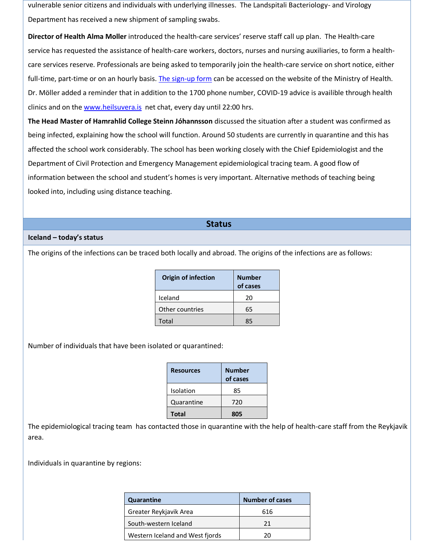vulnerable senior citizens and individuals with underlying illnesses. The Landspitali Bacteriology- and Virology Department has received a new shipment of sampling swabs.

**Director of Health Alma Moller** introduced the health-care services' reserve staff call up plan. The Health-care service has requested the assistance of health-care workers, doctors, nurses and nursing auxiliaries, to form a healthcare services reserve. Professionals are being asked to temporarily join the health-care service on short notice, either full-time, part-time or on an hourly basis. [The sign-up form](https://forms.office.com/Pages/ResponsePage.aspx?id=TqQUvPvgC06lNRAFedQbZdR4kgN0LjtFpK3Ch-qSFvpUMEpQNkxRME1XSzFMWVA1SzhaVEhOT0lWQi4u) can be accessed on the website of the Ministry of Health. Dr. Möller added a reminder that in addition to the 1700 phone number, COVID-19 advice is availible through health clinics and on the [www.heilsuvera.is](http://www.heilsuvera.is/) net chat, every day until 22:00 hrs.

**The Head Master of Hamrahlid College Steinn Jóhannsson** discussed the situation after a student was confirmed as being infected, explaining how the school will function. Around 50 students are currently in quarantine and this has affected the school work considerably. The school has been working closely with the Chief Epidemiologist and the Department of Civil Protection and Emergency Management epidemiological tracing team. A good flow of information between the school and student's homes is very important. Alternative methods of teaching being looked into, including using distance teaching.

# **Status**

# **Iceland – today's status**

The origins of the infections can be traced both locally and abroad. The origins of the infections are as follows:

| <b>Number</b><br>of cases |
|---------------------------|
| 20                        |
| 65                        |
| 85                        |
|                           |

Number of individuals that have been isolated or quarantined:

| <b>Resources</b> | <b>Number</b><br>of cases |
|------------------|---------------------------|
| Isolation        | 85                        |
| Quarantine       | 720                       |
| Total            | 805                       |

The epidemiological tracing team has contacted those in quarantine with the help of health-care staff from the Reykjavik area.

Individuals in quarantine by regions:

| Quarantine                      | <b>Number of cases</b> |
|---------------------------------|------------------------|
| Greater Reykjavik Area          | 616                    |
| South-western Iceland           | 21                     |
| Western Iceland and West fjords | 20                     |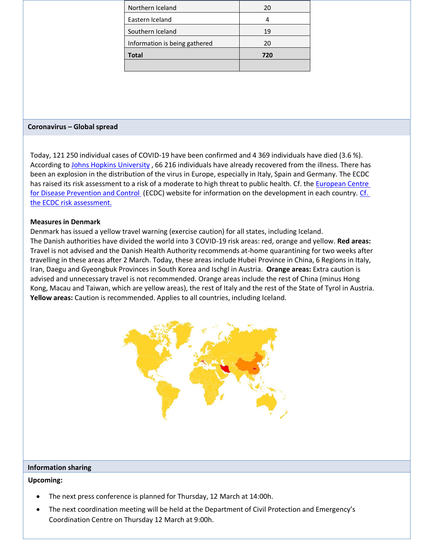| Northern Iceland              | 20  |
|-------------------------------|-----|
| Eastern Iceland               |     |
| Southern Iceland              | 19  |
| Information is being gathered | 20  |
| <b>Total</b>                  | 720 |
|                               |     |

#### **Coronavirus – Global spread**

Today, 121 250 individual cases of COVID-19 have been confirmed and 4 369 individuals have died (3.6 %). According to [Johns Hopkins University](https://gisanddata.maps.arcgis.com/apps/opsdashboard/index.html#/bda7594740fd40299423467b48e9ecf6) , 66 216 individuals have already recovered from the illness. There has been an explosion in the distribution of the virus in Europe, especially in Italy, Spain and Germany. The ECDC has raised its risk assessment to a risk of a moderate to high threat to public health. Cf. the European Centre [for Disease Prevention and Control \(](https://www.ecdc.europa.eu/en/geographical-distribution-2019-ncov-cases)ECDC) website for information on the development in each country. [Cf.](https://www.ecdc.europa.eu/en/current-risk-assessment-novel-coronavirus-situation)  [the ECDC risk assessment.](https://www.ecdc.europa.eu/en/current-risk-assessment-novel-coronavirus-situation)

# **Measures in Denmark**

Denmark has issued a yellow travel warning (exercise caution) for all states, including Iceland. The Danish authorities have divided the world into 3 COVID-19 risk areas: red, orange and yellow. **Red areas:** Travel is not advised and the Danish Health Authority recommends at-home quarantining for two weeks after travelling in these areas after 2 March. Today, these areas include Hubei Province in China, 6 Regions in Italy, Iran, Daegu and Gyeongbuk Provinces in South Korea and Ischgl in Austria. **Orange areas:** Extra caution is advised and unnecessary travel is not recommended. Orange areas include the rest of China (minus Hong Kong, Macau and Taiwan, which are yellow areas), the rest of Italy and the rest of the State of Tyrol in Austria. **Yellow areas:** Caution is recommended. Applies to all countries, including Iceland.



#### **Information sharing**

#### **Upcoming:**

- The next press conference is planned for Thursday, 12 March at 14:00h.
- The next coordination meeting will be held at the Department of Civil Protection and Emergency's Coordination Centre on Thursday 12 March at 9:00h.